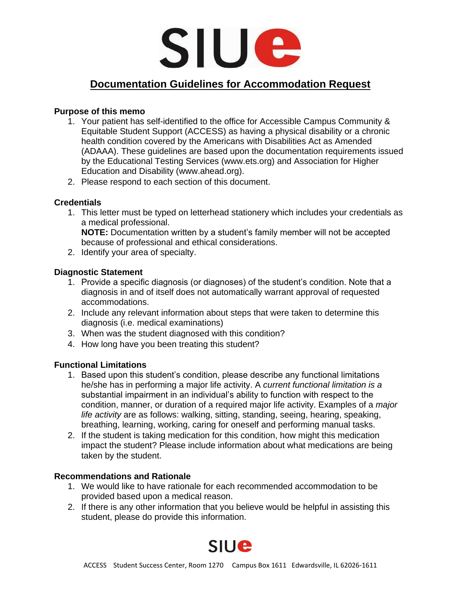

# **Documentation Guidelines for Accommodation Request**

## **Purpose of this memo**

- 1. Your patient has self-identified to the office for Accessible Campus Community & Equitable Student Support (ACCESS) as having a physical disability or a chronic health condition covered by the Americans with Disabilities Act as Amended (ADAAA). These guidelines are based upon the documentation requirements issued by the Educational Testing Services (www.ets.org) and Association for Higher Education and Disability (www.ahead.org).
- 2. Please respond to each section of this document.

### **Credentials**

1. This letter must be typed on letterhead stationery which includes your credentials as a medical professional. **NOTE:** Documentation written by a student's family member will not be accepted

because of professional and ethical considerations.

2. Identify your area of specialty.

## **Diagnostic Statement**

- 1. Provide a specific diagnosis (or diagnoses) of the student's condition. Note that a diagnosis in and of itself does not automatically warrant approval of requested accommodations.
- 2. Include any relevant information about steps that were taken to determine this diagnosis (i.e. medical examinations)
- 3. When was the student diagnosed with this condition?
- 4. How long have you been treating this student?

## **Functional Limitations**

- 1. Based upon this student's condition, please describe any functional limitations he/she has in performing a major life activity. A *current functional limitation is a*  substantial impairment in an individual's ability to function with respect to the condition, manner, or duration of a required major life activity. Examples of a *major life activity* are as follows: walking, sitting, standing, seeing, hearing, speaking, breathing, learning, working, caring for oneself and performing manual tasks.
- 2. If the student is taking medication for this condition, how might this medication impact the student? Please include information about what medications are being taken by the student.

#### **Recommendations and Rationale**

- 1. We would like to have rationale for each recommended accommodation to be provided based upon a medical reason.
- 2. If there is any other information that you believe would be helpful in assisting this student, please do provide this information.